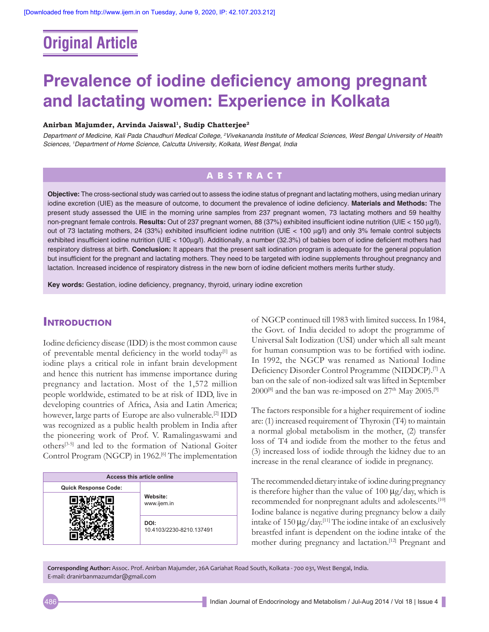# **Original Article**

# **Prevalence of iodine deficiency among pregnant and lactating women: Experience in Kolkata**

#### **Anirban Majumder, Arvinda Jaiswal1, Sudip Chatterjee2**

*Department of Medicine, Kali Pada Chaudhuri Medical College, 2 Vivekananda Institute of Medical Sciences, West Bengal University of Health Sciences, 1 Department of Home Science, Calcutta University, Kolkata, West Bengal, India*

## **ABSTRACT**

**Objective:** The cross‑sectional study was carried out to assess the iodine status of pregnant and lactating mothers, using median urinary iodine excretion (UIE) as the measure of outcome, to document the prevalence of iodine deficiency. **Materials and Methods:** The present study assessed the UIE in the morning urine samples from 237 pregnant women, 73 lactating mothers and 59 healthy non‑pregnant female controls. **Results:** Out of 237 pregnant women, 88 (37%) exhibited insufficient iodine nutrition (UIE < 150 µg/l), out of 73 lactating mothers, 24 (33%) exhibited insufficient iodine nutrition (UIE < 100 µg/l) and only 3% female control subjects exhibited insufficient iodine nutrition (UIE < 100µg/l). Additionally, a number (32.3%) of babies born of iodine deficient mothers had respiratory distress at birth. **Conclusion:** It appears that the present salt iodination program is adequate for the general population but insufficient for the pregnant and lactating mothers. They need to be targeted with iodine supplements throughout pregnancy and lactation. Increased incidence of respiratory distress in the new born of iodine deficient mothers merits further study.

**Key words:** Gestation, iodine deficiency, pregnancy, thyroid, urinary iodine excretion

## **Introduction**

Iodine deficiency disease (IDD) is the most common cause of preventable mental deficiency in the world today<sup>[1]</sup> as iodine plays a critical role in infant brain development and hence this nutrient has immense importance during pregnancy and lactation. Most of the 1,572 million people worldwide, estimated to be at risk of IDD, live in developing countries of Africa, Asia and Latin America; however, large parts of Europe are also vulnerable.<sup>[2]</sup> IDD was recognized as a public health problem in India after the pioneering work of Prof. V. Ramalingaswami and others[3‑5] and led to the formation of National Goiter Control Program (NGCP) in 1962.<sup>[6]</sup> The implementation

| Access this article online  |                                  |  |
|-----------------------------|----------------------------------|--|
| <b>Quick Response Code:</b> |                                  |  |
|                             | Website:<br>www.ijem.in          |  |
|                             | DOI:<br>10.4103/2230-8210.137491 |  |

of NGCP continued till 1983 with limited success. In 1984, the Govt. of India decided to adopt the programme of Universal Salt Iodization (USI) under which all salt meant for human consumption was to be fortified with iodine. In 1992, the NGCP was renamed as National Iodine Deficiency Disorder Control Programme (NIDDCP).[7] A ban on the sale of non‑iodized salt was lifted in September  $2000^{[8]}$  and the ban was re-imposed on  $27<sup>th</sup>$  May  $2005.^{[9]}$ 

The factors responsible for a higher requirement of iodine are: (1) increased requirement of Thyroxin (T4) to maintain a normal global metabolism in the mother, (2) transfer loss of T4 and iodide from the mother to the fetus and (3) increased loss of iodide through the kidney due to an increase in the renal clearance of iodide in pregnancy.

The recommended dietary intake of iodine during pregnancy is therefore higher than the value of  $100 \mu g/day$ , which is recommended for nonpregnant adults and adolescents.<sup>[10]</sup> Iodine balance is negative during pregnancy below a daily intake of  $150 \mu g/day$ <sup>[11]</sup> The iodine intake of an exclusively breastfed infant is dependent on the iodine intake of the mother during pregnancy and lactation.<sup>[12]</sup> Pregnant and

**Corresponding Author:** Assoc. Prof. Anirban Majumder, 26A Gariahat Road South, Kolkata ‑ 700 031, West Bengal, India. E‑mail: dranirbanmazumdar@gmail.com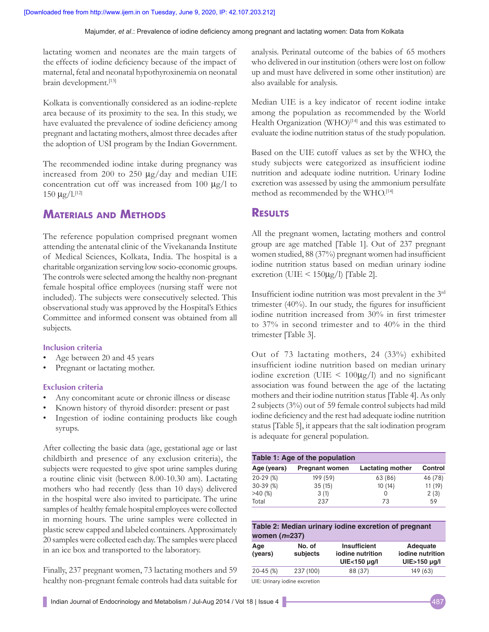Majumder, *et al*.: Prevalence of iodine deficiency among pregnant and lactating women: Data from Kolkata

lactating women and neonates are the main targets of the effects of iodine deficiency because of the impact of maternal, fetal and neonatal hypothyroxinemia on neonatal brain development.<sup>[13]</sup>

Kolkata is conventionally considered as an iodine-replete area because of its proximity to the sea. In this study, we have evaluated the prevalence of iodine deficiency among pregnant and lactating mothers, almost three decades after the adoption of USI program by the Indian Government.

The recommended iodine intake during pregnancy was increased from 200 to 250 µg/day and median UIE concentration cut off was increased from 100  $\mu$ g/l to  $150 \text{ kg}/1$ .[12]

## **Materials and Methods**

The reference population comprised pregnant women attending the antenatal clinic of the Vivekananda Institute of Medical Sciences, Kolkata, India. The hospital is a charitable organization serving low socio‑economic groups. The controls were selected among the healthy non-pregnant female hospital office employees (nursing staff were not included). The subjects were consecutively selected. This observational study was approved by the Hospital's Ethics Committee and informed consent was obtained from all subjects.

#### **Inclusion criteria**

- Age between 20 and 45 years
- Pregnant or lactating mother.

#### **Exclusion criteria**

- Any concomitant acute or chronic illness or disease
- Known history of thyroid disorder: present or past
- Ingestion of iodine containing products like cough syrups.

After collecting the basic data (age, gestational age or last childbirth and presence of any exclusion criteria), the subjects were requested to give spot urine samples during a routine clinic visit (between 8.00-10.30 am). Lactating mothers who had recently (less than 10 days) delivered in the hospital were also invited to participate. The urine samples of healthy female hospital employees were collected in morning hours. The urine samples were collected in plastic screw capped and labeled containers. Approximately 20 samples were collected each day. The samples were placed in an ice box and transported to the laboratory.

Finally, 237 pregnant women, 73 lactating mothers and 59 healthy non‑pregnant female controls had data suitable for analysis. Perinatal outcome of the babies of 65 mothers who delivered in our institution (others were lost on follow up and must have delivered in some other institution) are also available for analysis.

Median UIE is a key indicator of recent iodine intake among the population as recommended by the World Health Organization (WHO)<sup>[14]</sup> and this was estimated to evaluate the iodine nutrition status of the study population.

Based on the UIE cutoff values as set by the WHO, the study subjects were categorized as insufficient iodine nutrition and adequate iodine nutrition. Urinary Iodine excretion was assessed by using the ammonium persulfate method as recommended by the WHO.<sup>[14]</sup>

### **Results**

All the pregnant women, lactating mothers and control group are age matched [Table 1]. Out of 237 pregnant women studied, 88 (37%) pregnant women had insufficient iodine nutrition status based on median urinary iodine excretion (UIE  $\leq$  150µg/l) [Table 2].

Insufficient iodine nutrition was most prevalent in the 3rd trimester (40%). In our study, the figures for insufficient iodine nutrition increased from 30% in first trimester to 37% in second trimester and to 40% in the third trimester [Table 3].

Out of 73 lactating mothers, 24 (33%) exhibited insufficient iodine nutrition based on median urinary iodine excretion (UIE  $\leq 100\mu g/l$ ) and no significant association was found between the age of the lactating mothers and their iodine nutrition status [Table 4]. As only 2 subjects (3%) out of 59 female control subjects had mild iodine deficiency and the rest had adequate iodine nutrition status [Table 5], it appears that the salt iodination program is adequate for general population.

| Table 1: Age of the population |                       |                  |         |  |
|--------------------------------|-----------------------|------------------|---------|--|
| Age (years)                    | <b>Pregnant women</b> | Lactating mother | Control |  |
| $20-29(%)$                     | 199 (59)              | 63 (86)          | 46 (78) |  |
| $30-39(%)$                     | 35(15)                | 10(14)           | 11(19)  |  |
| >40(%)                         | 3(1)                  | 0                | 2(3)    |  |
| Total                          | 237                   | 73               | 59      |  |

| Table 2: Median urinary iodine excretion of pregnant<br>women $(n=237)$ |                    |                                                         |                                              |
|-------------------------------------------------------------------------|--------------------|---------------------------------------------------------|----------------------------------------------|
| Age<br>(years)                                                          | No. of<br>subjects | <b>Insufficient</b><br>iodine nutrition<br>UIE<150 µg/l | Adequate<br>iodine nutrition<br>UIE>150 µg/l |
| $20 - 45$ (%)                                                           | 237 (100)          | 88 (37)                                                 | 149 (63)                                     |

UIE: Urinary iodine excretion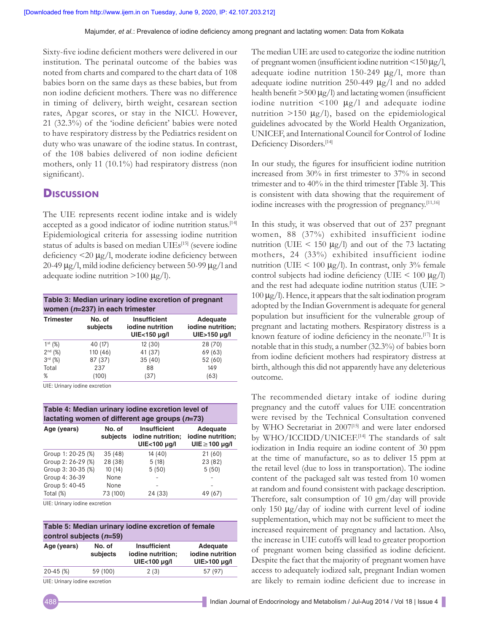Sixty‑five iodine deficient mothers were delivered in our institution. The perinatal outcome of the babies was noted from charts and compared to the chart data of 108 babies born on the same days as these babies, but from non iodine deficient mothers. There was no difference in timing of delivery, birth weight, cesarean section rates, Apgar scores, or stay in the NICU. However, 21 (32.3%) of the 'iodine deficient' babies were noted to have respiratory distress by the Pediatrics resident on duty who was unaware of the iodine status. In contrast, of the 108 babies delivered of non iodine deficient mothers, only 11 (10.1%) had respiratory distress (non significant).

## **Discussion**

The UIE represents recent iodine intake and is widely accepted as a good indicator of iodine nutrition status.<sup>[14]</sup> Epidemiological criteria for assessing iodine nutrition status of adults is based on median UIEs<sup>[15]</sup> (severe iodine deficiency <20 μg/l, moderate iodine deficiency between 20-49  $\mu$ g/l, mild iodine deficiency between 50-99  $\mu$ g/l and adequate iodine nutrition  $>100 \mu g/l$ .

| Table 3: Median urinary iodine excretion of pregnant<br>women ( $n=237$ ) in each trimester |                    |                                                         |                                               |
|---------------------------------------------------------------------------------------------|--------------------|---------------------------------------------------------|-----------------------------------------------|
| <b>Trimester</b>                                                                            | No. of<br>subjects | <b>Insufficient</b><br>iodine nutrition<br>UIE<150 µg/l | Adequate<br>iodine nutrition;<br>UIE>150 µg/l |
| $1^{st}$ (%)                                                                                | 40 (17)            | 12 (30)                                                 | 28 (70)                                       |
| $2^{nd}$ (%)                                                                                | 110 (46)           | 41 (37)                                                 | 69 (63)                                       |
| $3^{rd}$ (%)                                                                                | 87 (37)            | 35(40)                                                  | 52 (60)                                       |
| Total                                                                                       | 237                | 88                                                      | 149                                           |
| %                                                                                           | (100)              | (37)                                                    | (63)                                          |

UIE: Urinary iodine excretion

| Table 4: Median urinary iodine excretion level of<br>lactating women of different age groups $(n=73)$ |          |                                                                   |                                                     |
|-------------------------------------------------------------------------------------------------------|----------|-------------------------------------------------------------------|-----------------------------------------------------|
| Age (years)                                                                                           | No. of   | <b>Insufficient</b><br>subjects iodine nutrition;<br>UIE<100 µg/l | Adequate<br>iodine nutrition;<br>$UIE \ge 100$ µg/l |
| Group 1: 20-25 (%)                                                                                    | 35(48)   | 14 (40)                                                           | 21(60)                                              |
| Group 2: 26-29 (%)                                                                                    | 28 (38)  | 5(18)                                                             | 23 (82)                                             |
| Group 3: 30-35 (%)                                                                                    | 10(14)   | 5(50)                                                             | 5(50)                                               |
| Group 4: 36-39                                                                                        | None     |                                                                   |                                                     |
| Group 5: 40-45                                                                                        | None     |                                                                   |                                                     |
| Total (%)                                                                                             | 73 (100) | 24 (33)                                                           | 49 (67)                                             |

UIE: Urinary iodine excretion

| Table 5: Median urinary iodine excretion of female<br>control subjects $(n=59)$ |                    |                                                          |                                              |
|---------------------------------------------------------------------------------|--------------------|----------------------------------------------------------|----------------------------------------------|
| Age (years)                                                                     | No. of<br>subjects | <b>Insufficient</b><br>iodine nutrition;<br>UIE<100 µg/l | Adequate<br>iodine nutrition<br>UIE>100 µg/l |
| $20 - 45$ (%)                                                                   | 59 (100)           | 2(3)                                                     | 57 (97)                                      |

UIE: Urinary iodine excretion

The median UIE are used to categorize the iodine nutrition of pregnant women (insufficient iodine nutrition<150 μg/l, adequate iodine nutrition 150-249  $\mu$ g/l, more than adequate iodine nutrition 250-449 μg/l and no added health benefit  $>500 \mu g/l$ ) and lactating women (insufficient iodine nutrition  $\leq 100 \mu g/l$  and adequate iodine nutrition  $>$ 150 μg/l), based on the epidemiological guidelines advocated by the World Health Organization, UNICEF, and International Council for Control of Iodine Deficiency Disorders.<sup>[14]</sup>

In our study, the figures for insufficient iodine nutrition increased from 30% in first trimester to 37% in second trimester and to 40% in the third trimester [Table 3]. This is consistent with data showing that the requirement of iodine increases with the progression of pregnancy.<sup>[11,16]</sup>

In this study, it was observed that out of 237 pregnant women, 88 (37%) exhibited insufficient iodine nutrition (UIE  $\leq$  150  $\mu$ g/l) and out of the 73 lactating mothers, 24 (33%) exhibited insufficient iodine nutrition (UIE  $\leq 100 \mu g/l$ ). In contrast, only 3% female control subjects had iodine deficiency (UIE  $< 100 \mu g/l$ ) and the rest had adequate iodine nutrition status (UIE > 100 µg/l). Hence, it appears that the salt iodination program adopted by the Indian Government is adequate for general population but insufficient for the vulnerable group of pregnant and lactating mothers. Respiratory distress is a known feature of iodine deficiency in the neonate.<sup>[17]</sup> It is notable that in this study, a number (32.3%) of babies born from iodine deficient mothers had respiratory distress at birth, although this did not apparently have any deleterious outcome.

The recommended dietary intake of iodine during pregnancy and the cutoff values for UIE concentration were revised by the Technical Consultation convened by WHO Secretariat in 2007<sup>[15]</sup> and were later endorsed by WHO/ICCIDD/UNICEF.<sup>[14]</sup> The standards of salt iodization in India require an iodine content of 30 ppm at the time of manufacture, so as to deliver 15 ppm at the retail level (due to loss in transportation). The iodine content of the packaged salt was tested from 10 women at random and found consistent with package description. Therefore, salt consumption of 10 gm/day will provide only 150 µg/day of iodine with current level of iodine supplementation, which may not be sufficient to meet the increased requirement of pregnancy and lactation. Also, the increase in UIE cutoffs will lead to greater proportion of pregnant women being classified as iodine deficient. Despite the fact that the majority of pregnant women have access to adequately iodized salt, pregnant Indian women are likely to remain iodine deficient due to increase in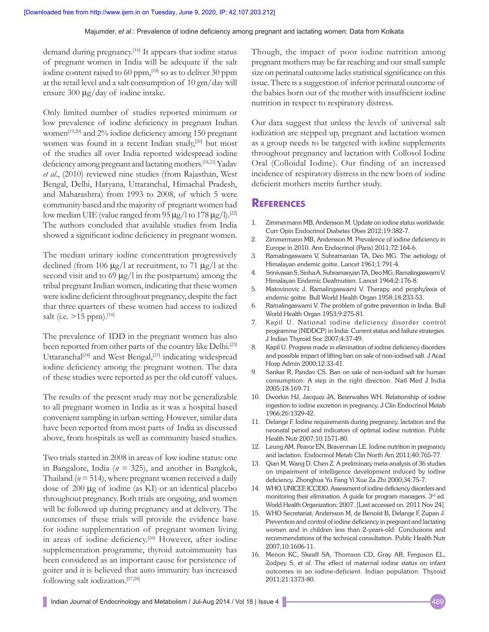#### Majumder, *et al*.: Prevalence of iodine deficiency among pregnant and lactating women: Data from Kolkata

demand during pregnancy.[16] It appears that iodine status of pregnant women in India will be adequate if the salt iodine content raised to 60 ppm,<sup>[18]</sup> so as to deliver 30 ppm at the retail level and a salt consumption of 10 gm/day will ensure 300  $\mu$ g/day of iodine intake.

Only limited number of studies reported minimum or low prevalence of iodine deficiency in pregnant Indian women<sup>[19,20]</sup> and 2% iodine deficiency among 150 pregnant women was found in a recent Indian study,<sup>[20]</sup> but most of the studies all over India reported widespread iodine deficiency among pregnant and lactating mothers.[18,21] Yadav *et al*., (2010) reviewed nine studies (from Rajasthan, West Bengal, Delhi, Haryana, Uttaranchal, Himachal Pradesh, and Maharashtra) from 1993 to 2008, of which 5 were community based and the majority of pregnant women had low median UIE (value ranged from 95  $\mu$ g/l to 178  $\mu$ g/l).<sup>[22]</sup> The authors concluded that available studies from India showed a significant iodine deficiency in pregnant women.

The median urinary iodine concentration progressively declined (from 106  $\mu$ g/l at recruitment, to 71  $\mu$ g/l at the second visit and to 69  $\mu$ g/l in the postpartum) among the tribal pregnant Indian women, indicating that these women were iodine deficient throughout pregnancy, despite the fact that three quarters of these women had access to iodized salt (i.e.  $>15$  ppm).<sup>[16]</sup>

The prevalence of IDD in the pregnant women has also been reported from other parts of the country like Delhi.<sup>[23]</sup> Uttaranchal<sup>[24]</sup> and West Bengal,<sup>[25]</sup> indicating widespread iodine deficiency among the pregnant women. The data of these studies were reported as per the old cutoff values.

The results of the present study may not be generalizable to all pregnant women in India as it was a hospital based convenient sampling in urban setting. However, similar data have been reported from most parts of India as discussed above, from hospitals as well as community based studies.

Two trials started in 2008 in areas of low iodine status: one in Bangalore, India (*n* = 325), and another in Bangkok, Thailand ( $n = 514$ ), where pregnant women received a daily dose of 200 µg of iodine (as KI) or an identical placebo throughout pregnancy. Both trials are ongoing, and women will be followed up during pregnancy and at delivery. The outcomes of these trials will provide the evidence base for iodine supplementation of pregnant women living in areas of iodine deficiency.[26] However, after iodine supplementation programme, thyroid autoimmunity has been considered as an important cause for persistence of goiter and it is believed that auto immunity has increased following salt iodization.[27,28]

Though, the impact of poor iodine nutrition among pregnant mothers may be far reaching and our small sample size on perinatal outcome lacks statistical significance on this issue. There is a suggestion of inferior perinatal outcome of the babies born out of the mother with insufficient iodine nutrition in respect to respiratory distress.

Our data suggest that unless the levels of universal salt iodization are stepped up, pregnant and lactation women as a group needs to be targeted with iodine supplements throughout pregnancy and lactation with Collosol Iodine Oral (Colloidal Iodine). Our finding of an increased incidence of respiratory distress in the new born of iodine deficient mothers merits further study.

### **References**

- 1. Zimmermann MB, Andersson M. Update on iodine status worldwide. Curr Opin Endocrinol Diabetes Obes 2012;19:382‑7.
- 2. Zimmermann MB, Andersson M. Prevalence of iodine deficiency in Europe in 2010. Ann Endocrinol (Paris) 2011;72:164‑6.
- 3. Ramalingaswami V, Subramanian TA, Deo MG. The aetiology of Himalayan endemic goitre. Lancet 1961;1:791‑4.
- 4. SrinivasanS, SinhaA, SubramanyanTA, Deo MG, RamalingaswamiV. Himalayan Endemic Deafmutism. Lancet 1964;2:176‑8.
- 5. Matovinovic J, Ramalingaswami V. Therapy and prophylaxis of endemic goitre. Bull World Health Organ 1958;18:233‑53.
- 6. Ramalingaswami V. The problem of goitre prevention in India. Bull World Health Organ 1953;9:275‑81.
- 7. Kapil U. National iodine deficiency disorder control programme (NIDDCP) in India: Current status and failure strategies. J Indian Thyroid Soc 2007;4:37‑49.
- 8. Kapil U. Progress made in elimination of iodine deficiency disorders and possible impact of lifting ban on sale of non‑iodised salt. J Acad Hosp Admin 2000;12:33‑41.
- 9. Sankar R, Pandav CS. Ban on sale of non‑iodized salt for human consumption: A step in the right direction. Natl Med J India 2005;18:169‑71.
- 10. Dworkin HJ, Jacquez JA, Beierwaltes WH. Relationship of iodine ingestion to iodine excretion in pregnancy. J Clin Endocrinol Metab 1966;26:1329‑42.
- 11. Delange F. Iodine requirements during pregnancy, lactation and the neonatal period and indicators of optimal iodine nutrition. Public Health Nutr 2007;10:1571‑80.
- 12. Leung AM, Pearce EN, Braverman LE. Iodine nutrition in pregnancy and lactation. Endocrinol Metab Clin North Am 2011;40:765-77.
- 13. Qian M, Wang D, Chen Z. A preliminary meta-analysis of 36 studies on impairment of intelligence development induced by iodine deficiency. Zhonghua Yu Fang Yi Xue Za Zhi 2000;34:75‑7.
- 14. WHO, UNICEF, ICCIDD. Assessment of iodine deficiency disorders and monitoring their elimination. A guide for program managers. 3rd ed. World Health Organization; 2007. [Last accessed on 2011 Nov 24].
- 15. WHO Secretariat, Andersson M, de Benoist B, Delange F, Zupan J. Prevention and control of iodine deficiency in pregnant and lactating women and in children less than 2‑years‑old: Conclusions and recommendations of the technical consultation. Public Health Nutr 2007;10:1606‑11.
- 16. Menon KC, Skeaff SA, Thomson CD, Gray AR, Ferguson EL, Zodpey S, *et al*. The effect of maternal iodine status on infant outcomes in an iodine‑deficient. Indian population. Thyroid 2011;21:1373‑80.